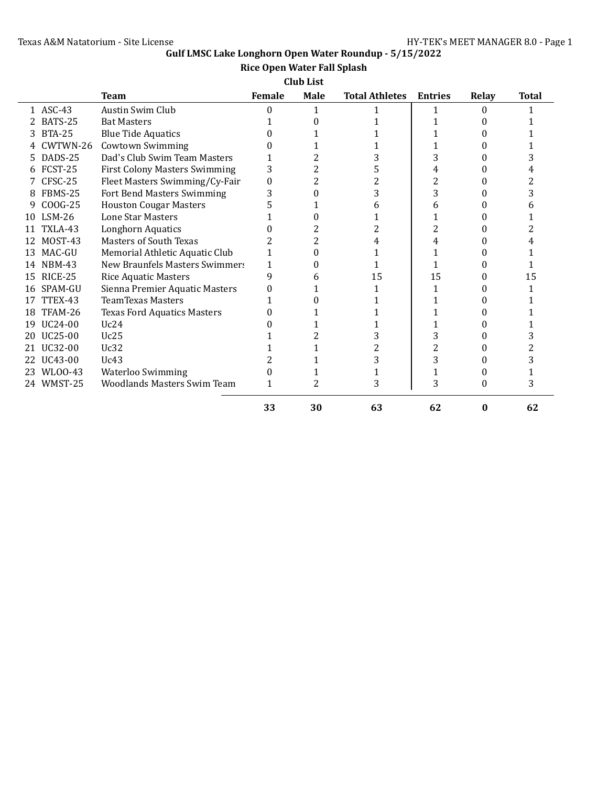# **Gulf LMSC Lake Longhorn Open Water Roundup - 5/15/2022**

## **Rice Open Water Fall Splash**

**Club List**

|    |               | <b>Team</b>                          | Female | <b>Male</b> | <b>Total Athletes</b> | <b>Entries</b> | Relay | <b>Total</b> |
|----|---------------|--------------------------------------|--------|-------------|-----------------------|----------------|-------|--------------|
|    | 1 ASC-43      | Austin Swim Club                     | 0      | 1           |                       | 1              | 0     |              |
|    | BATS-25       | <b>Bat Masters</b>                   |        |             |                       |                |       |              |
| 3  | <b>BTA-25</b> | <b>Blue Tide Aquatics</b>            |        |             |                       |                |       |              |
|    | CWTWN-26      | <b>Cowtown Swimming</b>              |        |             |                       |                |       |              |
| 5  | DADS-25       | Dad's Club Swim Team Masters         |        |             |                       | 3              |       |              |
| h  | FCST-25       | <b>First Colony Masters Swimming</b> | 3      |             | 5                     |                |       |              |
|    | CFSC-25       | Fleet Masters Swimming/Cy-Fair       | 0      |             |                       |                |       |              |
| 8  | FBMS-25       | Fort Bend Masters Swimming           | 3      |             | 3                     | 3              |       |              |
| 9  | COOG-25       | <b>Houston Cougar Masters</b>        |        |             |                       | h              |       |              |
| 10 | $LSM-26$      | <b>Lone Star Masters</b>             |        |             |                       |                |       |              |
|    | TXLA-43       | Longhorn Aquatics                    |        |             | 2                     | 2              |       |              |
|    | MOST-43       | <b>Masters of South Texas</b>        |        |             |                       | 4              |       |              |
| 13 | MAC-GU        | Memorial Athletic Aquatic Club       |        |             |                       |                |       |              |
| 14 | <b>NBM-43</b> | New Braunfels Masters Swimmers       | 1      |             |                       |                |       |              |
| 15 | RICE-25       | <b>Rice Aquatic Masters</b>          | 9      | h           | 15                    | 15             |       | 15           |
| 16 | SPAM-GU       | Sienna Premier Aquatic Masters       |        |             |                       | 1              |       |              |
|    | TTEX-43       | <b>TeamTexas Masters</b>             |        |             |                       |                |       |              |
| 18 | TFAM-26       | <b>Texas Ford Aquatics Masters</b>   |        |             |                       |                |       |              |
| 19 | UC24-00       | Uc24                                 |        |             |                       |                |       |              |
| 20 | UC25-00       | Uc25                                 |        |             | 3                     |                |       |              |
|    | UC32-00       | Uc32                                 |        |             |                       |                |       |              |
|    | UC43-00       | Uc43                                 |        |             | 3                     | 3              |       |              |
| 23 | WL00-43       | <b>Waterloo Swimming</b>             |        |             |                       |                |       |              |
|    | 24 WMST-25    | <b>Woodlands Masters Swim Team</b>   | 1      | 2           | 3                     | 3              | 0     | 3            |
|    |               |                                      | 33     | 30          | 63                    | 62             | 0     | 62           |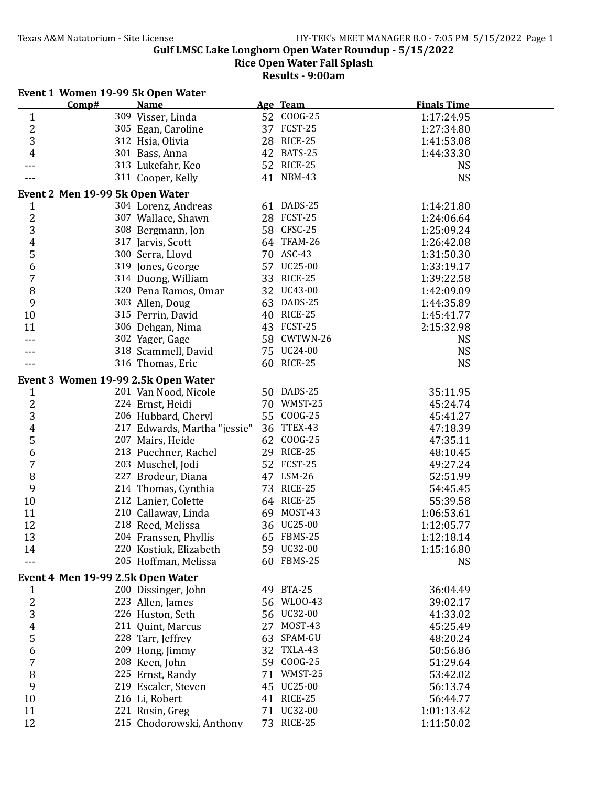**Gulf LMSC Lake Longhorn Open Water Roundup - 5/15/2022**

**Rice Open Water Fall Splash**

**Results - 9:00am**

#### **Event 1 Women 19-99 5k Open Water**

|                     | Comp#                             | <b>Name</b>                                      |    | Age Team    | <b>Finals Time</b>   |
|---------------------|-----------------------------------|--------------------------------------------------|----|-------------|----------------------|
| $\mathbf{1}$        |                                   | 309 Visser, Linda                                |    | 52 COOG-25  | 1:17:24.95           |
| $\overline{2}$      |                                   | 305 Egan, Caroline                               |    | 37 FCST-25  | 1:27:34.80           |
| 3                   |                                   | 312 Hsia, Olivia                                 |    | 28 RICE-25  | 1:41:53.08           |
| 4                   |                                   | 301 Bass, Anna                                   | 42 | BATS-25     | 1:44:33.30           |
|                     |                                   | 313 Lukefahr, Keo                                |    | 52 RICE-25  | <b>NS</b>            |
|                     |                                   | 311 Cooper, Kelly                                |    | 41 NBM-43   | <b>NS</b>            |
|                     | Event 2 Men 19-99 5k Open Water   |                                                  |    |             |                      |
| 1                   |                                   | 304 Lorenz, Andreas                              |    | 61 DADS-25  | 1:14:21.80           |
| $\overline{c}$      |                                   | 307 Wallace, Shawn                               |    | 28 FCST-25  | 1:24:06.64           |
| 3                   |                                   | 308 Bergmann, Jon                                |    | 58 CFSC-25  | 1:25:09.24           |
| $\boldsymbol{4}$    |                                   | 317 Jarvis, Scott                                |    | 64 TFAM-26  | 1:26:42.08           |
| 5                   |                                   | 300 Serra, Lloyd                                 |    | 70 ASC-43   | 1:31:50.30           |
| 6                   |                                   | 319 Jones, George                                |    | 57 UC25-00  | 1:33:19.17           |
| 7                   |                                   | 314 Duong, William                               | 33 | RICE-25     | 1:39:22.58           |
| 8                   |                                   | 320 Pena Ramos, Omar                             |    | 32 UC43-00  | 1:42:09.09           |
| 9                   |                                   | 303 Allen, Doug                                  |    | 63 DADS-25  | 1:44:35.89           |
| 10                  |                                   | 315 Perrin, David                                |    | 40 RICE-25  | 1:45:41.77           |
| 11                  |                                   | 306 Dehgan, Nima                                 |    | 43 FCST-25  | 2:15:32.98           |
|                     |                                   | 302 Yager, Gage                                  |    | 58 CWTWN-26 | <b>NS</b>            |
|                     |                                   | 318 Scammell, David                              |    | 75 UC24-00  | <b>NS</b>            |
|                     |                                   | 316 Thomas, Eric                                 |    | 60 RICE-25  | <b>NS</b>            |
|                     |                                   |                                                  |    |             |                      |
|                     |                                   | Event 3 Women 19-99 2.5k Open Water              |    | 50 DADS-25  |                      |
| 1                   |                                   | 201 Van Nood, Nicole                             | 70 | WMST-25     | 35:11.95             |
| $\overline{c}$<br>3 |                                   | 224 Ernst, Heidi                                 |    | 55 COOG-25  | 45:24.74<br>45:41.27 |
| 4                   |                                   | 206 Hubbard, Cheryl                              |    | 36 TTEX-43  | 47:18.39             |
| 5                   |                                   | 217 Edwards, Martha "jessie"<br>207 Mairs, Heide |    | 62 COOG-25  | 47:35.11             |
| 6                   |                                   | 213 Puechner, Rachel                             |    | 29 RICE-25  | 48:10.45             |
| 7                   |                                   | 203 Muschel, Jodi                                |    | 52 FCST-25  | 49:27.24             |
| 8                   |                                   | 227 Brodeur, Diana                               |    | 47 LSM-26   | 52:51.99             |
| 9                   |                                   |                                                  |    | 73 RICE-25  |                      |
| 10                  |                                   | 214 Thomas, Cynthia<br>212 Lanier, Colette       |    | 64 RICE-25  | 54:45.45<br>55:39.58 |
| 11                  |                                   | 210 Callaway, Linda                              |    | 69 MOST-43  | 1:06:53.61           |
| 12                  |                                   | 218 Reed, Melissa                                |    | 36 UC25-00  | 1:12:05.77           |
| 13                  |                                   | 204 Franssen, Phyllis                            |    | 65 FBMS-25  | 1:12:18.14           |
|                     |                                   | 220 Kostiuk, Elizabeth                           |    | 59 UC32-00  | 1:15:16.80           |
| 14                  |                                   | 205 Hoffman, Melissa                             |    | 60 FBMS-25  | <b>NS</b>            |
|                     |                                   |                                                  |    |             |                      |
|                     | Event 4 Men 19-99 2.5k Open Water |                                                  |    |             |                      |
| 1                   |                                   | 200 Dissinger, John                              |    | 49 BTA-25   | 36:04.49             |
| $\frac{2}{3}$       |                                   | 223 Allen, James                                 | 56 | WL00-43     | 39:02.17             |
|                     |                                   | 226 Huston, Seth                                 | 56 | UC32-00     | 41:33.02             |
| 4                   |                                   | 211 Quint, Marcus                                | 27 | MOST-43     | 45:25.49             |
| 5                   |                                   | 228 Tarr, Jeffrey                                | 63 | SPAM-GU     | 48:20.24             |
| 6                   |                                   | 209 Hong, Jimmy                                  | 32 | TXLA-43     | 50:56.86             |
| 7                   |                                   | 208 Keen, John                                   |    | 59 COOG-25  | 51:29.64             |
| 8                   |                                   | 225 Ernst, Randy                                 | 71 | WMST-25     | 53:42.02             |
| 9                   |                                   | 219 Escaler, Steven                              |    | 45 UC25-00  | 56:13.74             |
| 10                  |                                   | 216 Li, Robert                                   |    | 41 RICE-25  | 56:44.77             |
| 11                  |                                   | 221 Rosin, Greg                                  |    | 71 UC32-00  | 1:01:13.42           |
| 12                  |                                   | 215 Chodorowski, Anthony                         |    | 73 RICE-25  | 1:11:50.02           |